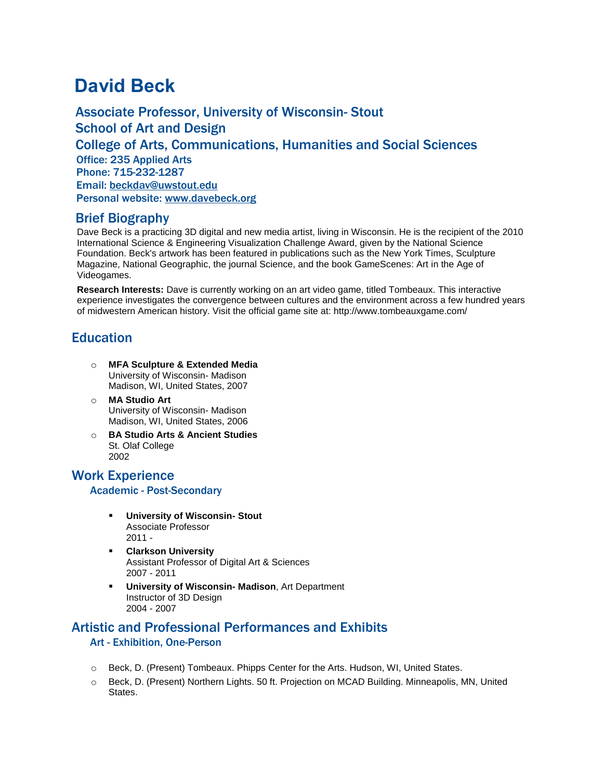# **David Beck**

Associate Professor, University of Wisconsin- Stout School of Art and Design College of Arts, Communications, Humanities and Social Sciences Office: 235 Applied Arts Phone: 715-232-1287 Email: [beckdav@uwstout.edu](mailto:beckdav@uwstout.edu) Personal website: [www.davebeck.org](http://www.davebeck.org/)

## Brief Biography

Dave Beck is a practicing 3D digital and new media artist, living in Wisconsin. He is the recipient of the 2010 International Science & Engineering Visualization Challenge Award, given by the National Science Foundation. Beck's artwork has been featured in publications such as the New York Times, Sculpture Magazine, National Geographic, the journal Science, and the book GameScenes: Art in the Age of Videogames.

**Research Interests:** Dave is currently working on an art video game, titled Tombeaux. This interactive experience investigates the convergence between cultures and the environment across a few hundred years of midwestern American history. Visit the official game site at: http://www.tombeauxgame.com/

# **Education**

- o **MFA Sculpture & Extended Media** University of Wisconsin- Madison Madison, WI, United States, 2007
- o **MA Studio Art** University of Wisconsin- Madison Madison, WI, United States, 2006
- o **BA Studio Arts & Ancient Studies** St. Olaf College 2002

# Work Experience Academic - Post-Secondary

- **University of Wisconsin- Stout** Associate Professor 2011 -
- **Clarkson University** Assistant Professor of Digital Art & Sciences 2007 - 2011
- **University of Wisconsin- Madison**, Art Department Instructor of 3D Design 2004 - 2007

# Artistic and Professional Performances and Exhibits

## Art - Exhibition, One-Person

- o Beck, D. (Present) Tombeaux. Phipps Center for the Arts. Hudson, WI, United States.
- o Beck, D. (Present) Northern Lights. 50 ft. Projection on MCAD Building. Minneapolis, MN, United States.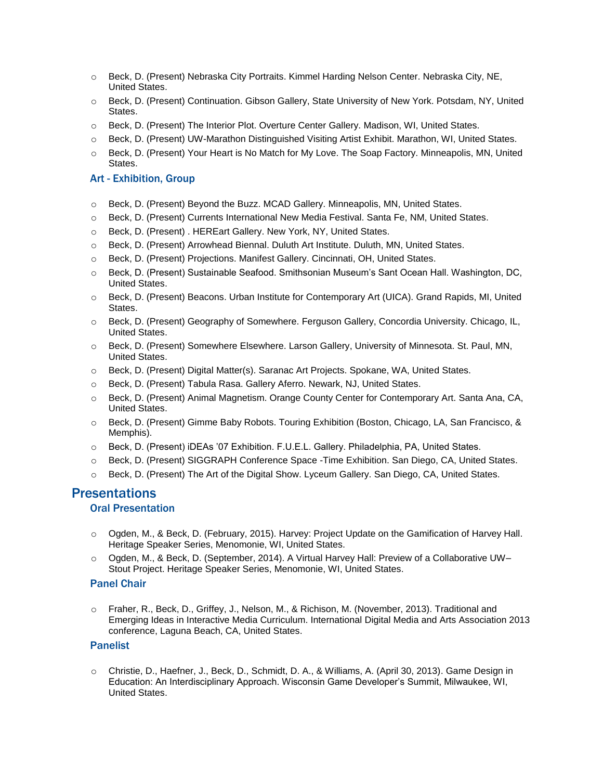- o Beck, D. (Present) Nebraska City Portraits. Kimmel Harding Nelson Center. Nebraska City, NE, United States.
- o Beck, D. (Present) Continuation. Gibson Gallery, State University of New York. Potsdam, NY, United States.
- o Beck, D. (Present) The Interior Plot. Overture Center Gallery. Madison, WI, United States.
- o Beck, D. (Present) UW-Marathon Distinguished Visiting Artist Exhibit. Marathon, WI, United States.
- o Beck, D. (Present) Your Heart is No Match for My Love. The Soap Factory. Minneapolis, MN, United States.

#### Art - Exhibition, Group

- o Beck, D. (Present) Beyond the Buzz. MCAD Gallery. Minneapolis, MN, United States.
- o Beck, D. (Present) Currents International New Media Festival. Santa Fe, NM, United States.
- o Beck, D. (Present) . HEREart Gallery. New York, NY, United States.
- o Beck, D. (Present) Arrowhead Biennal. Duluth Art Institute. Duluth, MN, United States.
- o Beck, D. (Present) Projections. Manifest Gallery. Cincinnati, OH, United States.
- o Beck, D. (Present) Sustainable Seafood. Smithsonian Museum's Sant Ocean Hall. Washington, DC, United States.
- o Beck, D. (Present) Beacons. Urban Institute for Contemporary Art (UICA). Grand Rapids, MI, United States.
- o Beck, D. (Present) Geography of Somewhere. Ferguson Gallery, Concordia University. Chicago, IL, United States.
- o Beck, D. (Present) Somewhere Elsewhere. Larson Gallery, University of Minnesota. St. Paul, MN, United States.
- o Beck, D. (Present) Digital Matter(s). Saranac Art Projects. Spokane, WA, United States.
- o Beck, D. (Present) Tabula Rasa. Gallery Aferro. Newark, NJ, United States.
- o Beck, D. (Present) Animal Magnetism. Orange County Center for Contemporary Art. Santa Ana, CA, United States.
- o Beck, D. (Present) Gimme Baby Robots. Touring Exhibition (Boston, Chicago, LA, San Francisco, & Memphis).
- o Beck, D. (Present) iDEAs '07 Exhibition. F.U.E.L. Gallery. Philadelphia, PA, United States.
- o Beck, D. (Present) SIGGRAPH Conference Space -Time Exhibition. San Diego, CA, United States.
- o Beck, D. (Present) The Art of the Digital Show. Lyceum Gallery. San Diego, CA, United States.

## **Presentations**

#### Oral Presentation

- o Ogden, M., & Beck, D. (February, 2015). Harvey: Project Update on the Gamification of Harvey Hall. Heritage Speaker Series, Menomonie, WI, United States.
- o Ogden, M., & Beck, D. (September, 2014). A Virtual Harvey Hall: Preview of a Collaborative UW– Stout Project. Heritage Speaker Series, Menomonie, WI, United States.

#### Panel Chair

o Fraher, R., Beck, D., Griffey, J., Nelson, M., & Richison, M. (November, 2013). Traditional and Emerging Ideas in Interactive Media Curriculum. International Digital Media and Arts Association 2013 conference, Laguna Beach, CA, United States.

#### Panelist

o Christie, D., Haefner, J., Beck, D., Schmidt, D. A., & Williams, A. (April 30, 2013). Game Design in Education: An Interdisciplinary Approach. Wisconsin Game Developer's Summit, Milwaukee, WI, United States.